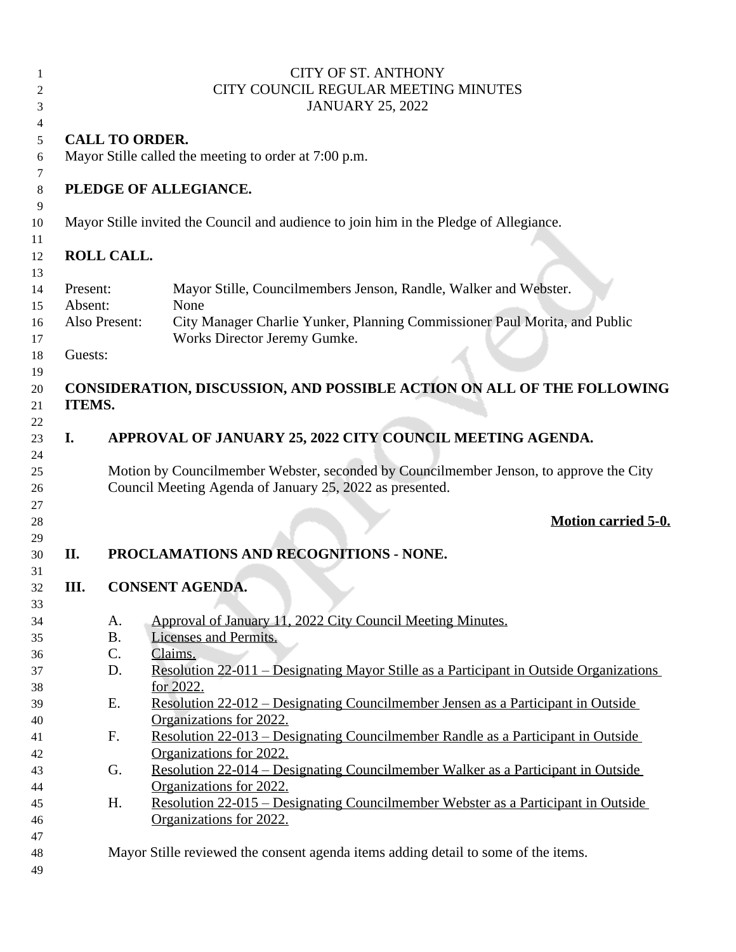|          |                       | <b>CITY OF ST. ANTHONY</b><br>CITY COUNCIL REGULAR MEETING MINUTES<br><b>JANUARY 25, 2022</b>                                                      |
|----------|-----------------------|----------------------------------------------------------------------------------------------------------------------------------------------------|
|          |                       |                                                                                                                                                    |
|          | <b>CALL TO ORDER.</b> |                                                                                                                                                    |
|          |                       | Mayor Stille called the meeting to order at 7:00 p.m.                                                                                              |
|          |                       | PLEDGE OF ALLEGIANCE.                                                                                                                              |
|          |                       |                                                                                                                                                    |
|          |                       | Mayor Stille invited the Council and audience to join him in the Pledge of Allegiance.                                                             |
|          |                       |                                                                                                                                                    |
|          | <b>ROLL CALL.</b>     |                                                                                                                                                    |
| Present: |                       | Mayor Stille, Councilmembers Jenson, Randle, Walker and Webster.                                                                                   |
| Absent:  |                       | None                                                                                                                                               |
|          | Also Present:         | City Manager Charlie Yunker, Planning Commissioner Paul Morita, and Public                                                                         |
|          |                       | Works Director Jeremy Gumke.                                                                                                                       |
| Guests:  |                       |                                                                                                                                                    |
|          |                       |                                                                                                                                                    |
|          |                       | CONSIDERATION, DISCUSSION, AND POSSIBLE ACTION ON ALL OF THE FOLLOWING                                                                             |
| ITEMS.   |                       |                                                                                                                                                    |
|          |                       |                                                                                                                                                    |
| I.       |                       | APPROVAL OF JANUARY 25, 2022 CITY COUNCIL MEETING AGENDA.                                                                                          |
|          |                       |                                                                                                                                                    |
|          |                       | Motion by Councilmember Webster, seconded by Councilmember Jenson, to approve the City<br>Council Meeting Agenda of January 25, 2022 as presented. |
|          |                       | <b>Motion carried 5-0.</b>                                                                                                                         |
| II.      |                       | PROCLAMATIONS AND RECOGNITIONS - NONE.                                                                                                             |
| III.     |                       | <b>CONSENT AGENDA.</b>                                                                                                                             |
|          |                       |                                                                                                                                                    |
|          | A.                    | Approval of January 11, 2022 City Council Meeting Minutes.                                                                                         |
|          | <b>B.</b>             | Licenses and Permits.<br>Claims.                                                                                                                   |
|          | C.<br>D.              |                                                                                                                                                    |
|          |                       | <u> Resolution 22-011 – Designating Mayor Stille as a Participant in Outside Organizations</u>                                                     |
|          | Ε.                    | for 2022.<br><u> Resolution 22-012 – Designating Councilmember Jensen as a Participant in Outside</u>                                              |
|          |                       | Organizations for 2022.                                                                                                                            |
|          | F.                    | <u> Resolution 22-013 – Designating Councilmember Randle as a Participant in Outside</u>                                                           |
|          |                       | Organizations for 2022.                                                                                                                            |
|          | G.                    | <u> Resolution 22-014 – Designating Councilmember Walker as a Participant in Outside</u>                                                           |
|          |                       | Organizations for 2022.                                                                                                                            |
|          | H.                    |                                                                                                                                                    |
|          |                       |                                                                                                                                                    |
|          |                       | <u> Resolution 22-015 – Designating Councilmember Webster as a Participant in Outside</u>                                                          |
|          |                       | Organizations for 2022.                                                                                                                            |
|          |                       |                                                                                                                                                    |
|          |                       | Mayor Stille reviewed the consent agenda items adding detail to some of the items.                                                                 |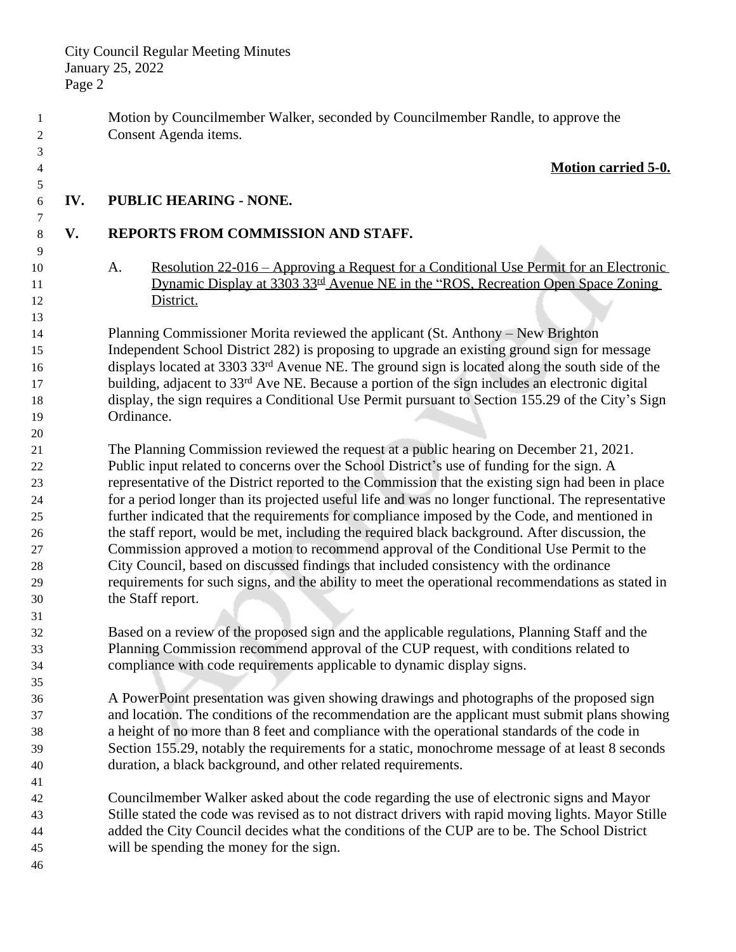Motion by Councilmember Walker, seconded by Councilmember Randle, to approve the Consent Agenda items.

## **Motion carried 5-0.**

## **IV. PUBLIC HEARING - NONE.**

 

## **V. REPORTS FROM COMMISSION AND STAFF.**

 A. Resolution 22-016 – Approving a Request for a Conditional Use Permit for an Electronic 11 Dynamic Display at 3303 33<sup>rd</sup> Avenue NE in the "ROS, Recreation Open Space Zoning District.

 Planning Commissioner Morita reviewed the applicant (St. Anthony – New Brighton Independent School District 282) is proposing to upgrade an existing ground sign for message displays located at 3303 33rd Avenue NE. The ground sign is located along the south side of the 17 building, adjacent to 33<sup>rd</sup> Ave NE. Because a portion of the sign includes an electronic digital display, the sign requires a Conditional Use Permit pursuant to Section 155.29 of the City's Sign Ordinance.

 The Planning Commission reviewed the request at a public hearing on December 21, 2021. Public input related to concerns over the School District's use of funding for the sign. A representative of the District reported to the Commission that the existing sign had been in place for a period longer than its projected useful life and was no longer functional. The representative further indicated that the requirements for compliance imposed by the Code, and mentioned in the staff report, would be met, including the required black background. After discussion, the Commission approved a motion to recommend approval of the Conditional Use Permit to the City Council, based on discussed findings that included consistency with the ordinance requirements for such signs, and the ability to meet the operational recommendations as stated in the Staff report.

- Based on a review of the proposed sign and the applicable regulations, Planning Staff and the Planning Commission recommend approval of the CUP request, with conditions related to compliance with code requirements applicable to dynamic display signs.
- A PowerPoint presentation was given showing drawings and photographs of the proposed sign and location. The conditions of the recommendation are the applicant must submit plans showing a height of no more than 8 feet and compliance with the operational standards of the code in Section 155.29, notably the requirements for a static, monochrome message of at least 8 seconds duration, a black background, and other related requirements.
- Councilmember Walker asked about the code regarding the use of electronic signs and Mayor Stille stated the code was revised as to not distract drivers with rapid moving lights. Mayor Stille added the City Council decides what the conditions of the CUP are to be. The School District will be spending the money for the sign.
-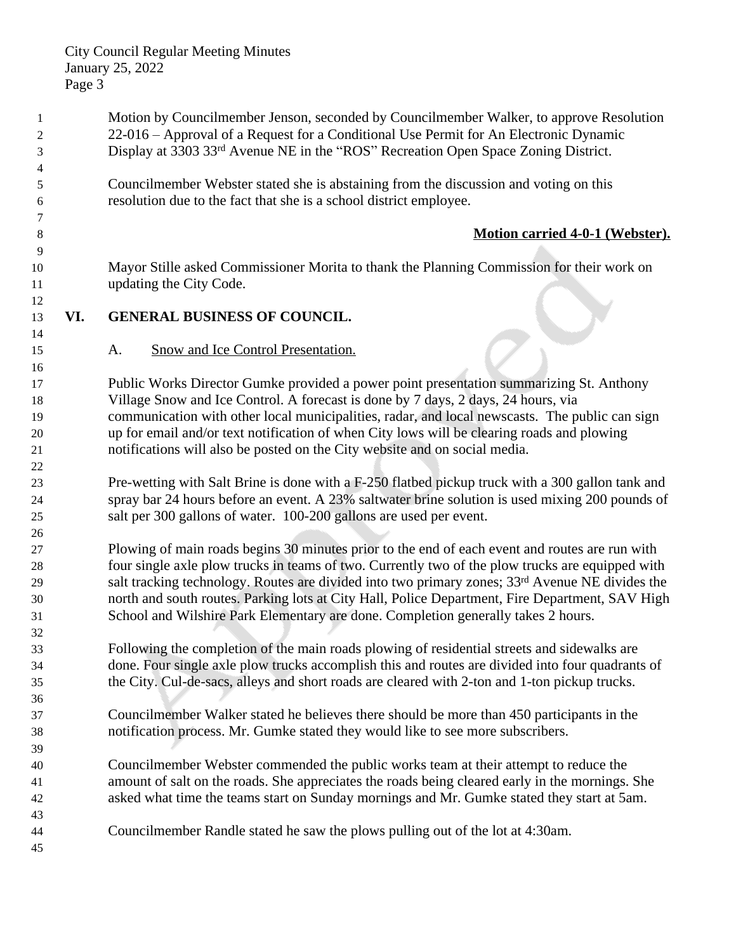Motion by Councilmember Jenson, seconded by Councilmember Walker, to approve Resolution 22-016 – Approval of a Request for a Conditional Use Permit for An Electronic Dynamic Display at 3303 33rd Avenue NE in the "ROS" Recreation Open Space Zoning District. Councilmember Webster stated she is abstaining from the discussion and voting on this resolution due to the fact that she is a school district employee. **Motion carried 4-0-1 (Webster).** Mayor Stille asked Commissioner Morita to thank the Planning Commission for their work on updating the City Code. **VI. GENERAL BUSINESS OF COUNCIL.** A. Snow and Ice Control Presentation. Public Works Director Gumke provided a power point presentation summarizing St. Anthony Village Snow and Ice Control. A forecast is done by 7 days, 2 days, 24 hours, via communication with other local municipalities, radar, and local newscasts. The public can sign up for email and/or text notification of when City lows will be clearing roads and plowing notifications will also be posted on the City website and on social media. Pre-wetting with Salt Brine is done with a F-250 flatbed pickup truck with a 300 gallon tank and spray bar 24 hours before an event. A 23% saltwater brine solution is used mixing 200 pounds of salt per 300 gallons of water. 100-200 gallons are used per event. Plowing of main roads begins 30 minutes prior to the end of each event and routes are run with four single axle plow trucks in teams of two. Currently two of the plow trucks are equipped with salt tracking technology. Routes are divided into two primary zones; 33rd Avenue NE divides the north and south routes. Parking lots at City Hall, Police Department, Fire Department, SAV High School and Wilshire Park Elementary are done. Completion generally takes 2 hours. Following the completion of the main roads plowing of residential streets and sidewalks are done. Four single axle plow trucks accomplish this and routes are divided into four quadrants of the City. Cul-de-sacs, alleys and short roads are cleared with 2-ton and 1-ton pickup trucks. Councilmember Walker stated he believes there should be more than 450 participants in the notification process. Mr. Gumke stated they would like to see more subscribers. Councilmember Webster commended the public works team at their attempt to reduce the amount of salt on the roads. She appreciates the roads being cleared early in the mornings. She asked what time the teams start on Sunday mornings and Mr. Gumke stated they start at 5am. Councilmember Randle stated he saw the plows pulling out of the lot at 4:30am.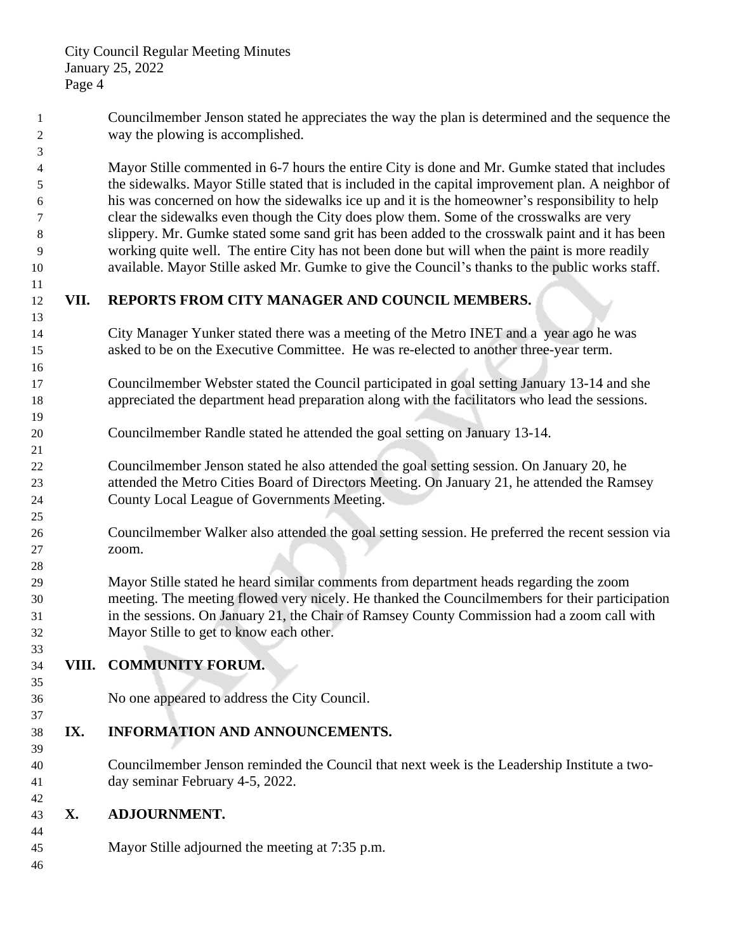Councilmember Jenson stated he appreciates the way the plan is determined and the sequence the way the plowing is accomplished. Mayor Stille commented in 6-7 hours the entire City is done and Mr. Gumke stated that includes the sidewalks. Mayor Stille stated that is included in the capital improvement plan. A neighbor of his was concerned on how the sidewalks ice up and it is the homeowner's responsibility to help clear the sidewalks even though the City does plow them. Some of the crosswalks are very slippery. Mr. Gumke stated some sand grit has been added to the crosswalk paint and it has been working quite well. The entire City has not been done but will when the paint is more readily available. Mayor Stille asked Mr. Gumke to give the Council's thanks to the public works staff. **VII. REPORTS FROM CITY MANAGER AND COUNCIL MEMBERS.** City Manager Yunker stated there was a meeting of the Metro INET and a year ago he was asked to be on the Executive Committee. He was re-elected to another three-year term. Councilmember Webster stated the Council participated in goal setting January 13-14 and she appreciated the department head preparation along with the facilitators who lead the sessions. Councilmember Randle stated he attended the goal setting on January 13-14. Councilmember Jenson stated he also attended the goal setting session. On January 20, he attended the Metro Cities Board of Directors Meeting. On January 21, he attended the Ramsey County Local League of Governments Meeting. Councilmember Walker also attended the goal setting session. He preferred the recent session via zoom. Mayor Stille stated he heard similar comments from department heads regarding the zoom meeting. The meeting flowed very nicely. He thanked the Councilmembers for their participation in the sessions. On January 21, the Chair of Ramsey County Commission had a zoom call with Mayor Stille to get to know each other. **VIII. COMMUNITY FORUM.** No one appeared to address the City Council. **IX. INFORMATION AND ANNOUNCEMENTS.** Councilmember Jenson reminded the Council that next week is the Leadership Institute a two- day seminar February 4-5, 2022. **X. ADJOURNMENT.** Mayor Stille adjourned the meeting at 7:35 p.m.